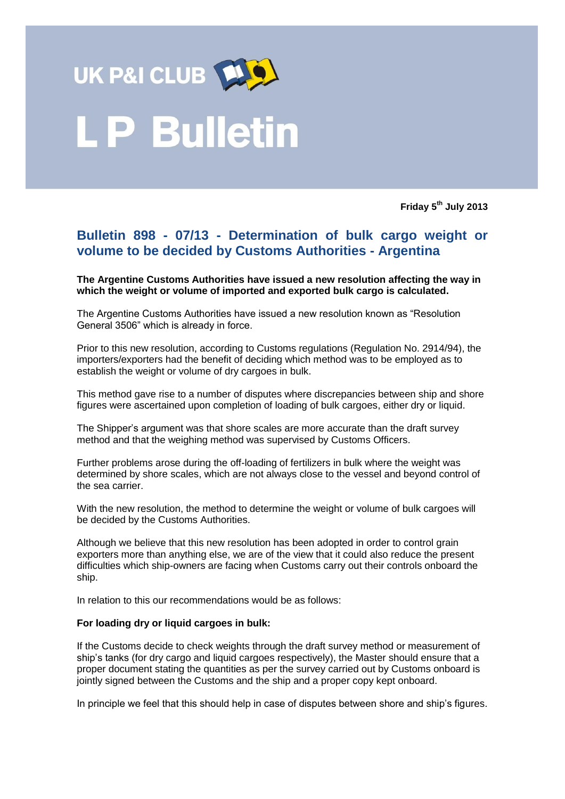

# **P Bulletin**

**Friday 5 th July 2013**

## **Bulletin 898 - 07/13 - Determination of bulk cargo weight or volume to be decided by Customs Authorities - Argentina**

**The Argentine Customs Authorities have issued a new resolution affecting the way in which the weight or volume of imported and exported bulk cargo is calculated.**

The Argentine Customs Authorities have issued a new resolution known as "Resolution General 3506" which is already in force.

Prior to this new resolution, according to Customs regulations (Regulation No. 2914/94), the importers/exporters had the benefit of deciding which method was to be employed as to establish the weight or volume of dry cargoes in bulk.

This method gave rise to a number of disputes where discrepancies between ship and shore figures were ascertained upon completion of loading of bulk cargoes, either dry or liquid.

The Shipper's argument was that shore scales are more accurate than the draft survey method and that the weighing method was supervised by Customs Officers.

Further problems arose during the off-loading of fertilizers in bulk where the weight was determined by shore scales, which are not always close to the vessel and beyond control of the sea carrier.

With the new resolution, the method to determine the weight or volume of bulk cargoes will be decided by the Customs Authorities.

Although we believe that this new resolution has been adopted in order to control grain exporters more than anything else, we are of the view that it could also reduce the present difficulties which ship-owners are facing when Customs carry out their controls onboard the ship.

In relation to this our recommendations would be as follows:

#### **For loading dry or liquid cargoes in bulk:**

If the Customs decide to check weights through the draft survey method or measurement of ship's tanks (for dry cargo and liquid cargoes respectively), the Master should ensure that a proper document stating the quantities as per the survey carried out by Customs onboard is jointly signed between the Customs and the ship and a proper copy kept onboard.

In principle we feel that this should help in case of disputes between shore and ship's figures.